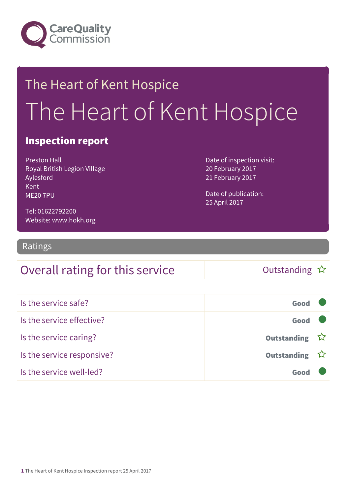

# The Heart of Kent Hospice The Heart of Kent Hospice

#### Inspection report

Preston Hall Royal British Legion Village Aylesford Kent ME20 7PU

Date of inspection visit: 20 February 2017 21 February 2017

Date of publication: 25 April 2017

Tel: 01622792200 Website: www.hokh.org

Ratings

### Overall rating for this service and the Cutstanding  $\hat{x}$

| Is the service safe?       | Good          |  |
|----------------------------|---------------|--|
| Is the service effective?  | Good          |  |
| Is the service caring?     | Outstanding ☆ |  |
| Is the service responsive? | Outstanding ☆ |  |
| Is the service well-led?   |               |  |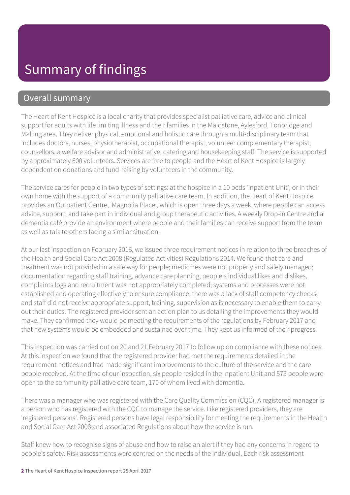#### Overall summary

The Heart of Kent Hospice is a local charity that provides specialist palliative care, advice and clinical support for adults with life limiting illness and their families in the Maidstone, Aylesford, Tonbridge and Malling area. They deliver physical, emotional and holistic care through a multi-disciplinary team that includes doctors, nurses, physiotherapist, occupational therapist, volunteer complementary therapist, counsellors, a welfare advisor and administrative, catering and housekeeping staff. The service is supported by approximately 600 volunteers. Services are free to people and the Heart of Kent Hospice is largely dependent on donations and fund-raising by volunteers in the community.

The service cares for people in two types of settings: at the hospice in a 10 beds 'Inpatient Unit', or in their own home with the support of a community palliative care team. In addition, the Heart of Kent Hospice provides an Outpatient Centre, 'Magnolia Place', which is open three days a week, where people can access advice, support, and take part in individual and group therapeutic activities. A weekly Drop-in Centre and a dementia café provide an environment where people and their families can receive support from the team as well as talk to others facing a similar situation.

At our last inspection on February 2016, we issued three requirement notices in relation to three breaches of the Health and Social Care Act 2008 (Regulated Activities) Regulations 2014. We found that care and treatment was not provided in a safe way for people; medicines were not properly and safely managed; documentation regarding staff training, advance care planning, people's individual likes and dislikes, complaints logs and recruitment was not appropriately completed; systems and processes were not established and operating effectively to ensure compliance; there was a lack of staff competency checks; and staff did not receive appropriate support, training, supervision as is necessary to enable them to carry out their duties. The registered provider sent an action plan to us detailing the improvements they would make. They confirmed they would be meeting the requirements of the regulations by February 2017 and that new systems would be embedded and sustained over time. They kept us informed of their progress.

This inspection was carried out on 20 and 21 February 2017 to follow up on compliance with these notices. At this inspection we found that the registered provider had met the requirements detailed in the requirement notices and had made significant improvements to the culture of the service and the care people received. At the time of our inspection, six people resided in the Inpatient Unit and 575 people were open to the community palliative care team, 170 of whom lived with dementia.

There was a manager who was registered with the Care Quality Commission (CQC). A registered manager is a person who has registered with the CQC to manage the service. Like registered providers, they are 'registered persons'. Registered persons have legal responsibility for meeting the requirements in the Health and Social Care Act 2008 and associated Regulations about how the service is run.

Staff knew how to recognise signs of abuse and how to raise an alert if they had any concerns in regard to people's safety. Risk assessments were centred on the needs of the individual. Each risk assessment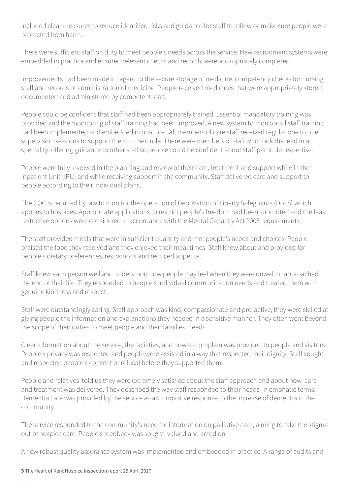included clear measures to reduce identified risks and guidance for staff to follow or make sure people were protected from harm.

There were sufficient staff on duty to meet people's needs across the service. New recruitment systems were embedded in practice and ensured relevant checks and records were appropriately completed.

Improvements had been made in regard to the secure storage of medicine, competency checks for nursing staff and records of administration of medicine. People received medicines that were appropriately stored, documented and administered by competent staff.

People could be confident that staff had been appropriately trained. Essential mandatory training was provided and the monitoring of staff training had been improved. A new system to monitor all staff training had been implemented and embedded in practice. All members of care staff received regular one to one supervision sessions to support them in their role. There were members of staff who took the lead in a speciality, offering guidance to other staff so people could be confident about staff particular expertise.

People were fully involved in the planning and review of their care, treatment and support while in the Inpatient Unit (IPU) and while receiving support in the community. Staff delivered care and support to people according to their individual plans.

The CQC is required by law to monitor the operation of Deprivation of Liberty Safeguards (DoLS) which applies to hospices. Appropriate applications to restrict people's freedom had been submitted and the least restrictive options were considered in accordance with the Mental Capacity Act 2005 requirements.

The staff provided meals that were in sufficient quantity and met people's needs and choices. People praised the food they received and they enjoyed their meal times. Staff knew about and provided for people's dietary preferences, restrictions and reduced appetite.

Staff knew each person well and understood how people may feel when they were unwell or approached the end of their life. They responded to people's individual communication needs and treated them with genuine kindness and respect.

Staff were outstandingly caring. Staff approach was kind, compassionate and pro-active; they were skilled at giving people the information and explanations they needed in a sensitive manner. They often went beyond the scope of their duties to meet people and their families' needs.

Clear information about the service, the facilities, and how to complain was provided to people and visitors. People's privacy was respected and people were assisted in a way that respected their dignity. Staff sought and respected people's consent or refusal before they supported them.

People and relatives told us they were extremely satisfied about the staff approach and about how care and treatment was delivered. They described the way staff responded to their needs in emphatic terms. Dementia care was provided by the service as an innovative response to the increase of dementia in the community.

The service responded to the community's need for information on palliative care, aiming to take the stigma out of hospice care. People's feedback was sought, valued and acted on.

A new robust quality assurance system was implemented and embedded in practice. A range of audits and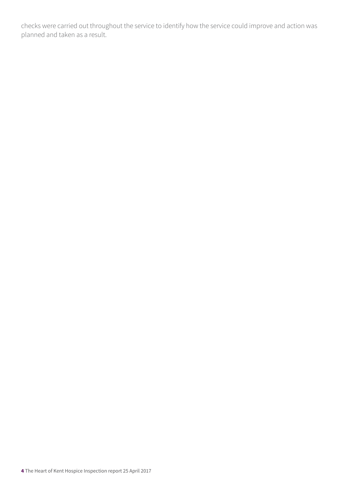checks were carried out throughout the service to identify how the service could improve and action was planned and taken as a result.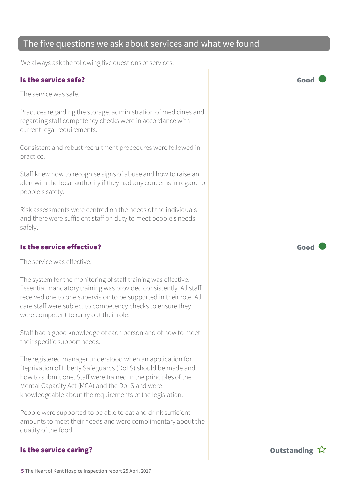#### Practices regarding the storage, administration of medicines and

regarding staff competency checks were in accordance with current legal requirements..

Consistent and robust recruitment procedures were followed in practice.

Staff knew how to recognise signs of abuse and how to raise an alert with the local authority if they had any concerns in regard to people's safety.

Risk assessments were centred on the needs of the individuals and there were sufficient staff on duty to meet people's needs safely.

#### Is the service effective?  $\Box$  Good  $\Box$

The service was effective.

The system for the monitoring of staff training was effective. Essential mandatory training was provided consistently. All staff received one to one supervision to be supported in their role. All care staff were subject to competency checks to ensure they were competent to carry out their role.

Staff had a good knowledge of each person and of how to meet their specific support needs.

The registered manager understood when an application for Deprivation of Liberty Safeguards (DoLS) should be made and how to submit one. Staff were trained in the principles of the Mental Capacity Act (MCA) and the DoLS and were knowledgeable about the requirements of the legislation.

People were supported to be able to eat and drink sufficient amounts to meet their needs and were complimentary about the quality of the food.

### The five questions we ask about services and what we found

We always ask the following five questions of services.

#### Is the service safe? Good

The service was safe.



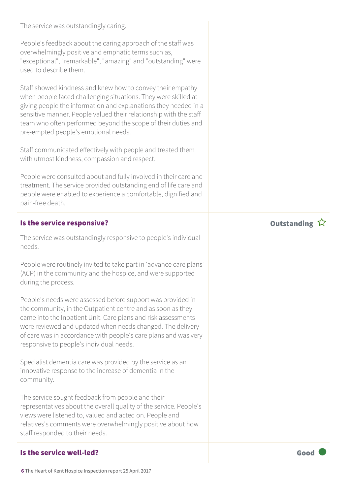The service was outstandingly caring.

People's feedback about the caring approach of the staff was overwhelmingly positive and emphatic terms such as, "exceptional", "remarkable", "amazing" and "outstanding" were used to describe them.

Staff showed kindness and knew how to convey their empathy when people faced challenging situations. They were skilled at giving people the information and explanations they needed in a sensitive manner. People valued their relationship with the staff team who often performed beyond the scope of their duties and pre-empted people's emotional needs.

Staff communicated effectively with people and treated them with utmost kindness, compassion and respect.

People were consulted about and fully involved in their care and treatment. The service provided outstanding end of life care and people were enabled to experience a comfortable, dignified and pain-free death.

#### Is the service responsive? The service responsive?

The service was outstandingly responsive to people's individual needs.

People were routinely invited to take part in 'advance care plans' (ACP) in the community and the hospice, and were supported during the process.

People's needs were assessed before support was provided in the community, in the Outpatient centre and as soon as they came into the Inpatient Unit. Care plans and risk assessments were reviewed and updated when needs changed. The delivery of care was in accordance with people's care plans and was very responsive to people's individual needs.

Specialist dementia care was provided by the service as an innovative response to the increase of dementia in the community.

The service sought feedback from people and their representatives about the overall quality of the service. People's views were listened to, valued and acted on. People and relatives's comments were overwhelmingly positive about how staff responded to their needs.

#### Is the service well-led? The service well-led?

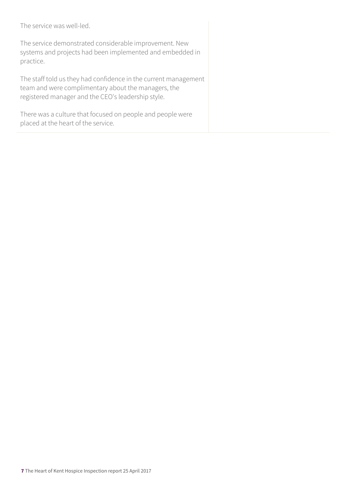The service was well-led.

The service demonstrated considerable improvement. New systems and projects had been implemented and embedded in practice.

The staff told us they had confidence in the current management team and were complimentary about the managers, the registered manager and the CEO's leadership style.

There was a culture that focused on people and people were placed at the heart of the service.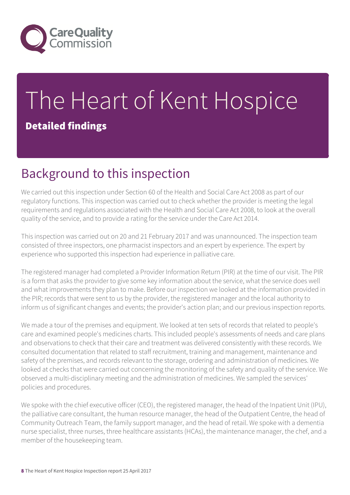

# The Heart of Kent Hospice Detailed findings

### Background to this inspection

We carried out this inspection under Section 60 of the Health and Social Care Act 2008 as part of our regulatory functions. This inspection was carried out to check whether the provider is meeting the legal requirements and regulations associated with the Health and Social Care Act 2008, to look at the overall quality of the service, and to provide a rating for the service under the Care Act 2014.

This inspection was carried out on 20 and 21 February 2017 and was unannounced. The inspection team consisted of three inspectors, one pharmacist inspectors and an expert by experience. The expert by experience who supported this inspection had experience in palliative care.

The registered manager had completed a Provider Information Return (PIR) at the time of our visit. The PIR is a form that asks the provider to give some key information about the service, what the service does well and what improvements they plan to make. Before our inspection we looked at the information provided in the PIR; records that were sent to us by the provider, the registered manager and the local authority to inform us of significant changes and events; the provider's action plan; and our previous inspection reports.

We made a tour of the premises and equipment. We looked at ten sets of records that related to people's care and examined people's medicines charts. This included people's assessments of needs and care plans and observations to check that their care and treatment was delivered consistently with these records. We consulted documentation that related to staff recruitment, training and management, maintenance and safety of the premises, and records relevant to the storage, ordering and administration of medicines. We looked at checks that were carried out concerning the monitoring of the safety and quality of the service. We observed a multi-disciplinary meeting and the administration of medicines. We sampled the services' policies and procedures.

We spoke with the chief executive officer (CEO), the registered manager, the head of the Inpatient Unit (IPU), the palliative care consultant, the human resource manager, the head of the Outpatient Centre, the head of Community Outreach Team, the family support manager, and the head of retail. We spoke with a dementia nurse specialist, three nurses, three healthcare assistants (HCAs), the maintenance manager, the chef, and a member of the housekeeping team.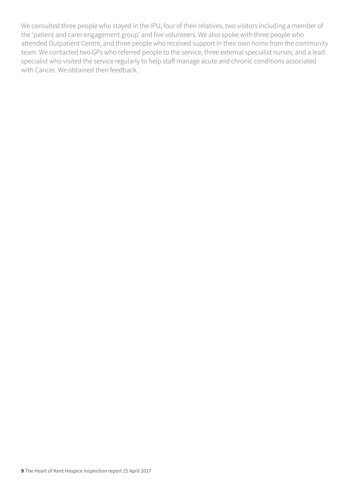We consulted three people who stayed in the IPU, four of their relatives, two visitors including a member of the 'patient and carer engagement group' and five volunteers. We also spoke with three people who attended Outpatient Centre, and three people who received support in their own home from the community team. We contacted two GPs who referred people to the service, three external specialist nurses, and a lead specialist who visited the service regularly to help staff manage acute and chronic conditions associated with Cancer. We obtained their feedback.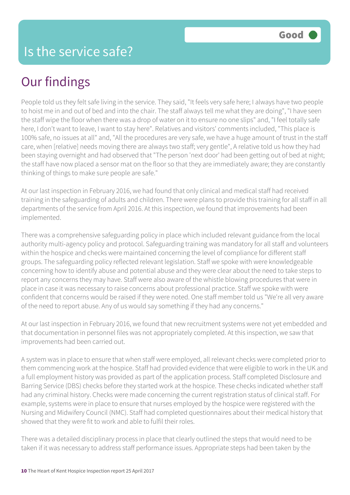### Our findings

People told us they felt safe living in the service. They said, "It feels very safe here; I always have two people to hoist me in and out of bed and into the chair. The staff always tell me what they are doing", "I have seen the staff wipe the floor when there was a drop of water on it to ensure no one slips" and, "I feel totally safe here, I don't want to leave, I want to stay here". Relatives and visitors' comments included, "This place is 100% safe, no issues at all" and, "All the procedures are very safe, we have a huge amount of trust in the staff care, when [relative] needs moving there are always two staff; very gentle", A relative told us how they had been staying overnight and had observed that "The person 'next door' had been getting out of bed at night; the staff have now placed a sensor mat on the floor so that they are immediately aware; they are constantly thinking of things to make sure people are safe."

At our last inspection in February 2016, we had found that only clinical and medical staff had received training in the safeguarding of adults and children. There were plans to provide this training for all staff in all departments of the service from April 2016. At this inspection, we found that improvements had been implemented.

There was a comprehensive safeguarding policy in place which included relevant guidance from the local authority multi-agency policy and protocol. Safeguarding training was mandatory for all staff and volunteers within the hospice and checks were maintained concerning the level of compliance for different staff groups. The safeguarding policy reflected relevant legislation. Staff we spoke with were knowledgeable concerning how to identify abuse and potential abuse and they were clear about the need to take steps to report any concerns they may have. Staff were also aware of the whistle blowing procedures that were in place in case it was necessary to raise concerns about professional practice. Staff we spoke with were confident that concerns would be raised if they were noted. One staff member told us "We're all very aware of the need to report abuse. Any of us would say something if they had any concerns."

At our last inspection in February 2016, we found that new recruitment systems were not yet embedded and that documentation in personnel files was not appropriately completed. At this inspection, we saw that improvements had been carried out.

A system was in place to ensure that when staff were employed, all relevant checks were completed prior to them commencing work at the hospice. Staff had provided evidence that were eligible to work in the UK and a full employment history was provided as part of the application process. Staff completed Disclosure and Barring Service (DBS) checks before they started work at the hospice. These checks indicated whether staff had any criminal history. Checks were made concerning the current registration status of clinical staff. For example, systems were in place to ensure that nurses employed by the hospice were registered with the Nursing and Midwifery Council (NMC). Staff had completed questionnaires about their medical history that showed that they were fit to work and able to fulfil their roles.

There was a detailed disciplinary process in place that clearly outlined the steps that would need to be taken if it was necessary to address staff performance issues. Appropriate steps had been taken by the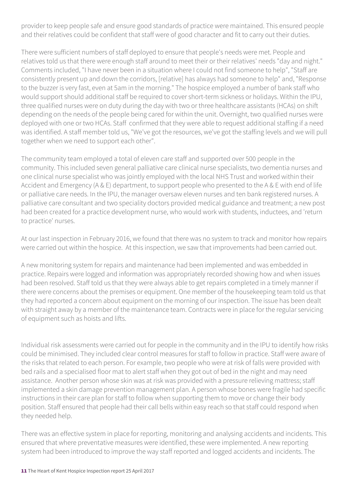provider to keep people safe and ensure good standards of practice were maintained. This ensured people and their relatives could be confident that staff were of good character and fit to carry out their duties.

There were sufficient numbers of staff deployed to ensure that people's needs were met. People and relatives told us that there were enough staff around to meet their or their relatives' needs "day and night." Comments included, "I have never been in a situation where I could not find someone to help", "Staff are consistently present up and down the corridors, [relative] has always had someone to help" and, "Response to the buzzer is very fast, even at 5am in the morning." The hospice employed a number of bank staff who would support should additional staff be required to cover short-term sickness or holidays. Within the IPU, three qualified nurses were on duty during the day with two or three healthcare assistants (HCAs) on shift depending on the needs of the people being cared for within the unit. Overnight, two qualified nurses were deployed with one or two HCAs. Staff confirmed that they were able to request additional staffing if a need was identified. A staff member told us, "We've got the resources, we've got the staffing levels and we will pull together when we need to support each other".

The community team employed a total of eleven care staff and supported over 500 people in the community. This included seven general palliative care clinical nurse specialists, two dementia nurses and one clinical nurse specialist who was jointly employed with the local NHS Trust and worked within their Accident and Emergency (A & E) department, to support people who presented to the A & E with end of life or palliative care needs. In the IPU, the manager oversaw eleven nurses and ten bank registered nurses. A palliative care consultant and two speciality doctors provided medical guidance and treatment; a new post had been created for a practice development nurse, who would work with students, inductees, and 'return to practice' nurses.

At our last inspection in February 2016, we found that there was no system to track and monitor how repairs were carried out within the hospice. At this inspection, we saw that improvements had been carried out.

A new monitoring system for repairs and maintenance had been implemented and was embedded in practice. Repairs were logged and information was appropriately recorded showing how and when issues had been resolved. Staff told us that they were always able to get repairs completed in a timely manner if there were concerns about the premises or equipment. One member of the housekeeping team told us that they had reported a concern about equipment on the morning of our inspection. The issue has been dealt with straight away by a member of the maintenance team. Contracts were in place for the regular servicing of equipment such as hoists and lifts.

Individual risk assessments were carried out for people in the community and in the IPU to identify how risks could be minimised. They included clear control measures for staff to follow in practice. Staff were aware of the risks that related to each person. For example, two people who were at risk of falls were provided with bed rails and a specialised floor mat to alert staff when they got out of bed in the night and may need assistance. Another person whose skin was at risk was provided with a pressure relieving mattress; staff implemented a skin damage prevention management plan. A person whose bones were fragile had specific instructions in their care plan for staff to follow when supporting them to move or change their body position. Staff ensured that people had their call bells within easy reach so that staff could respond when they needed help.

There was an effective system in place for reporting, monitoring and analysing accidents and incidents. This ensured that where preventative measures were identified, these were implemented. A new reporting system had been introduced to improve the way staff reported and logged accidents and incidents. The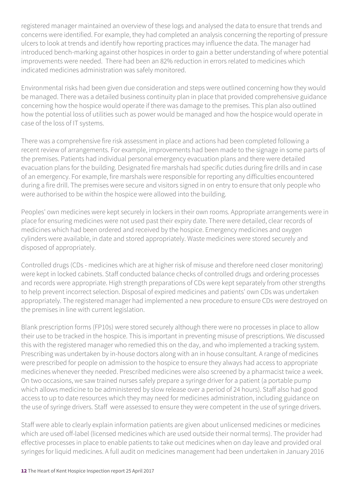registered manager maintained an overview of these logs and analysed the data to ensure that trends and concerns were identified. For example, they had completed an analysis concerning the reporting of pressure ulcers to look at trends and identify how reporting practices may influence the data. The manager had introduced bench-marking against other hospices in order to gain a better understanding of where potential improvements were needed. There had been an 82% reduction in errors related to medicines which indicated medicines administration was safely monitored.

Environmental risks had been given due consideration and steps were outlined concerning how they would be managed. There was a detailed business continuity plan in place that provided comprehensive guidance concerning how the hospice would operate if there was damage to the premises. This plan also outlined how the potential loss of utilities such as power would be managed and how the hospice would operate in case of the loss of IT systems.

There was a comprehensive fire risk assessment in place and actions had been completed following a recent review of arrangements. For example, improvements had been made to the signage in some parts of the premises. Patients had individual personal emergency evacuation plans and there were detailed evacuation plans for the building. Designated fire marshals had specific duties during fire drills and in case of an emergency. For example, fire marshals were responsible for reporting any difficulties encountered during a fire drill. The premises were secure and visitors signed in on entry to ensure that only people who were authorised to be within the hospice were allowed into the building.

Peoples' own medicines were kept securely in lockers in their own rooms. Appropriate arrangements were in place for ensuring medicines were not used past their expiry date. There were detailed, clear records of medicines which had been ordered and received by the hospice. Emergency medicines and oxygen cylinders were available, in date and stored appropriately. Waste medicines were stored securely and disposed of appropriately.

Controlled drugs (CDs - medicines which are at higher risk of misuse and therefore need closer monitoring) were kept in locked cabinets. Staff conducted balance checks of controlled drugs and ordering processes and records were appropriate. High strength preparations of CDs were kept separately from other strengths to help prevent incorrect selection. Disposal of expired medicines and patients' own CDs was undertaken appropriately. The registered manager had implemented a new procedure to ensure CDs were destroyed on the premises in line with current legislation.

Blank prescription forms (FP10s) were stored securely although there were no processes in place to allow their use to be tracked in the hospice. This is important in preventing misuse of prescriptions. We discussed this with the registered manager who remedied this on the day, and who implemented a tracking system. Prescribing was undertaken by in-house doctors along with an in house consultant. A range of medicines were prescribed for people on admission to the hospice to ensure they always had access to appropriate medicines whenever they needed. Prescribed medicines were also screened by a pharmacist twice a week. On two occasions, we saw trained nurses safely prepare a syringe driver for a patient (a portable pump which allows medicine to be administered by slow release over a period of 24 hours). Staff also had good access to up to date resources which they may need for medicines administration, including guidance on the use of syringe drivers. Staff were assessed to ensure they were competent in the use of syringe drivers.

Staff were able to clearly explain information patients are given about unlicensed medicines or medicines which are used off-label (licensed medicines which are used outside their normal terms). The provider had effective processes in place to enable patients to take out medicines when on day leave and provided oral syringes for liquid medicines. A full audit on medicines management had been undertaken in January 2016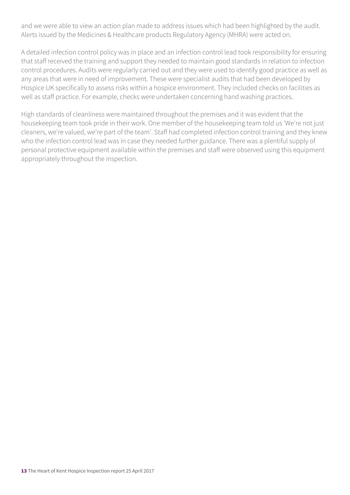and we were able to view an action plan made to address issues which had been highlighted by the audit. Alerts issued by the Medicines & Healthcare products Regulatory Agency (MHRA) were acted on.

A detailed infection control policy was in place and an infection control lead took responsibility for ensuring that staff received the training and support they needed to maintain good standards in relation to infection control procedures. Audits were regularly carried out and they were used to identify good practice as well as any areas that were in need of improvement. These were specialist audits that had been developed by Hospice UK specifically to assess risks within a hospice environment. They included checks on facilities as well as staff practice. For example, checks were undertaken concerning hand washing practices.

High standards of cleanliness were maintained throughout the premises and it was evident that the housekeeping team took pride in their work. One member of the housekeeping team told us 'We're not just cleaners, we're valued, we're part of the team'. Staff had completed infection control training and they knew who the infection control lead was in case they needed further guidance. There was a plentiful supply of personal protective equipment available within the premises and staff were observed using this equipment appropriately throughout the inspection.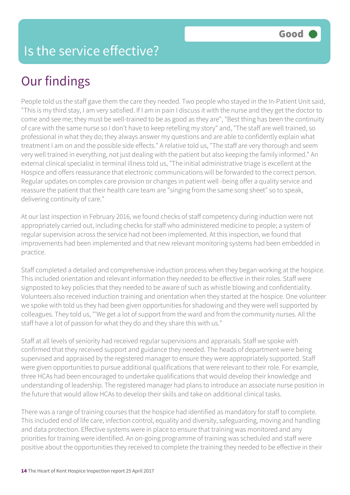## Our findings

People told us the staff gave them the care they needed. Two people who stayed in the In-Patient Unit said, "This is my third stay, I am very satisfied. If I am in pain I discuss it with the nurse and they get the doctor to come and see me; they must be well-trained to be as good as they are", "Best thing has been the continuity of care with the same nurse so I don't have to keep retelling my story" and, "The staff are well trained, so professional in what they do; they always answer my questions and are able to confidently explain what treatment I am on and the possible side effects." A relative told us, "The staff are very thorough and seem very well trained in everything, not just dealing with the patient but also keeping the family informed." An external clinical specialist in terminal illness told us, "The initial administrative triage is excellent at the Hospice and offers reassurance that electronic communications will be forwarded to the correct person. Regular updates on complex care provision or changes in patient well -being offer a quality service and reassure the patient that their health care team are "singing from the same song sheet" so to speak, delivering continuity of care."

At our last inspection in February 2016, we found checks of staff competency during induction were not appropriately carried out, including checks for staff who administered medicine to people; a system of regular supervision across the service had not been implemented. At this inspection, we found that improvements had been implemented and that new relevant monitoring systems had been embedded in practice.

Staff completed a detailed and comprehensive induction process when they began working at the hospice. This included orientation and relevant information they needed to be effective in their roles. Staff were signposted to key policies that they needed to be aware of such as whistle blowing and confidentiality. Volunteers also received induction training and orientation when they started at the hospice. One volunteer we spoke with told us they had been given opportunities for shadowing and they were well supported by colleagues. They told us, "'We get a lot of support from the ward and from the community nurses. All the staff have a lot of passion for what they do and they share this with us."

Staff at all levels of seniority had received regular supervisions and appraisals. Staff we spoke with confirmed that they received support and guidance they needed. The heads of department were being supervised and appraised by the registered manager to ensure they were appropriately supported. Staff were given opportunities to pursue additional qualifications that were relevant to their role. For example, three HCAs had been encouraged to undertake qualifications that would develop their knowledge and understanding of leadership. The registered manager had plans to introduce an associate nurse position in the future that would allow HCAs to develop their skills and take on additional clinical tasks.

There was a range of training courses that the hospice had identified as mandatory for staff to complete. This included end of life care, infection control, equality and diversity, safeguarding, moving and handling and data protection. Effective systems were in place to ensure that training was monitored and any priorities for training were identified. An on-going programme of training was scheduled and staff were positive about the opportunities they received to complete the training they needed to be effective in their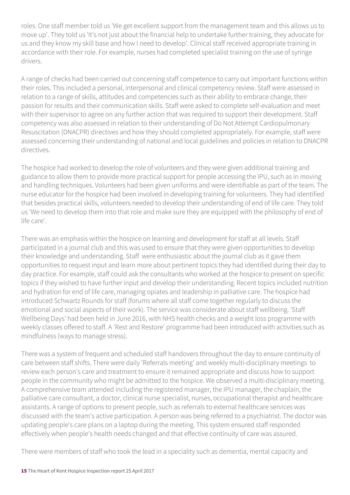roles. One staff member told us 'We get excellent support from the management team and this allows us to move up'. They told us 'It's not just about the financial help to undertake further training, they advocate for us and they know my skill base and how I need to develop'. Clinical staff received appropriate training in accordance with their role. For example, nurses had completed specialist training on the use of syringe drivers.

A range of checks had been carried out concerning staff competence to carry out important functions within their roles. This included a personal, interpersonal and clinical competency review. Staff were assessed in relation to a range of skills, attitudes and competencies such as their ability to embrace change, their passion for results and their communication skills. Staff were asked to complete self-evaluation and meet with their supervisor to agree on any further action that was required to support their development. Staff competency was also assessed in relation to their understanding of Do Not Attempt Cardiopulmonary Resuscitation (DNACPR) directives and how they should completed appropriately. For example, staff were assessed concerning their understanding of national and local guidelines and policies in relation to DNACPR directives.

The hospice had worked to develop the role of volunteers and they were given additional training and guidance to allow them to provide more practical support for people accessing the IPU, such as in moving and handling techniques. Volunteers had been given uniforms and were identifiable as part of the team. The nurse educator for the hospice had been involved in developing training for volunteers. They had identified that besides practical skills, volunteers needed to develop their understanding of end of life care. They told us 'We need to develop them into that role and make sure they are equipped with the philosophy of end of life care'.

There was an emphasis within the hospice on learning and development for staff at all levels. Staff participated in a journal club and this was used to ensure that they were given opportunities to develop their knowledge and understanding. Staff were enthusiastic about the journal club as it gave them opportunities to request input and learn more about pertinent topics they had identified during their day to day practice. For example, staff could ask the consultants who worked at the hospice to present on specific topics if they wished to have further input and develop their understanding. Recent topics included nutrition and hydration for end of life care, managing opiates and leadership in palliative care. The hospice had introduced Schwartz Rounds for staff (forums where all staff come together regularly to discuss the emotional and social aspects of their work). The service was considerate about staff wellbeing. 'Staff Wellbeing Days' had been held in June 2016, with NHS health checks and a weight loss programme with weekly classes offered to staff. A 'Rest and Restore' programme had been introduced with activities such as mindfulness (ways to manage stress).

There was a system of frequent and scheduled staff handovers throughout the day to ensure continuity of care between staff shifts. There were daily 'Referrals meeting' and weekly multi-disciplinary meetings to review each person's care and treatment to ensure it remained appropriate and discuss how to support people in the community who might be admitted to the hospice. We observed a multi-disciplinary meeting. A comprehensive team attended including the registered manager, the IPU manager, the chaplain, the palliative care consultant, a doctor, clinical nurse specialist, nurses, occupational therapist and healthcare assistants. A range of options to present people, such as referrals to external healthcare services was discussed with the team's active participation. A person was being referred to a psychiatrist. The doctor was updating people's care plans on a laptop during the meeting. This system ensured staff responded effectively when people's health needs changed and that effective continuity of care was assured.

There were members of staff who took the lead in a speciality such as dementia, mental capacity and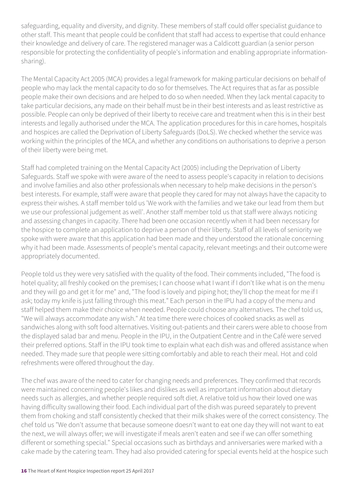safeguarding, equality and diversity, and dignity. These members of staff could offer specialist guidance to other staff. This meant that people could be confident that staff had access to expertise that could enhance their knowledge and delivery of care. The registered manager was a Caldicott guardian (a senior person responsible for protecting the confidentiality of people's information and enabling appropriate informationsharing).

The Mental Capacity Act 2005 (MCA) provides a legal framework for making particular decisions on behalf of people who may lack the mental capacity to do so for themselves. The Act requires that as far as possible people make their own decisions and are helped to do so when needed. When they lack mental capacity to take particular decisions, any made on their behalf must be in their best interests and as least restrictive as possible. People can only be deprived of their liberty to receive care and treatment when this is in their best interests and legally authorised under the MCA. The application procedures for this in care homes, hospitals and hospices are called the Deprivation of Liberty Safeguards (DoLS). We checked whether the service was working within the principles of the MCA, and whether any conditions on authorisations to deprive a person of their liberty were being met.

Staff had completed training on the Mental Capacity Act (2005) including the Deprivation of Liberty Safeguards. Staff we spoke with were aware of the need to assess people's capacity in relation to decisions and involve families and also other professionals when necessary to help make decisions in the person's best interests. For example, staff were aware that people they cared for may not always have the capacity to express their wishes. A staff member told us 'We work with the families and we take our lead from them but we use our professional judgement as well'. Another staff member told us that staff were always noticing and assessing changes in capacity. There had been one occasion recently when it had been necessary for the hospice to complete an application to deprive a person of their liberty. Staff of all levels of seniority we spoke with were aware that this application had been made and they understood the rationale concerning why it had been made. Assessments of people's mental capacity, relevant meetings and their outcome were appropriately documented.

People told us they were very satisfied with the quality of the food. Their comments included, "The food is hotel quality; all freshly cooked on the premises; I can choose what I want if I don't like what is on the menu and they will go and get it for me" and, "The food is lovely and piping hot; they'll chop the meat for me if I ask; today my knife is just falling through this meat." Each person in the IPU had a copy of the menu and staff helped them make their choice when needed. People could choose any alternatives. The chef told us, "We will always accommodate any wish." At tea time there were choices of cooked snacks as well as sandwiches along with soft food alternatives. Visiting out-patients and their carers were able to choose from the displayed salad bar and menu. People in the IPU, in the Outpatient Centre and in the Café were served their preferred options. Staff in the IPU took time to explain what each dish was and offered assistance when needed. They made sure that people were sitting comfortably and able to reach their meal. Hot and cold refreshments were offered throughout the day.

The chef was aware of the need to cater for changing needs and preferences. They confirmed that records were maintained concerning people's likes and dislikes as well as important information about dietary needs such as allergies, and whether people required soft diet. A relative told us how their loved one was having difficulty swallowing their food. Each individual part of the dish was pureed separately to prevent them from choking and staff consistently checked that their milk shakes were of the correct consistency. The chef told us "We don't assume that because someone doesn't want to eat one day they will not want to eat the next, we will always offer; we will investigate if meals aren't eaten and see if we can offer something different or something special." Special occasions such as birthdays and anniversaries were marked with a cake made by the catering team. They had also provided catering for special events held at the hospice such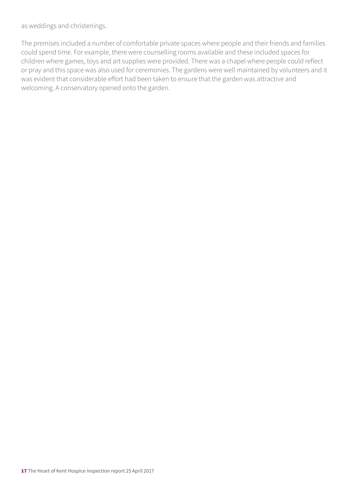as weddings and christenings.

The premises included a number of comfortable private spaces where people and their friends and families could spend time. For example, there were counselling rooms available and these included spaces for children where games, toys and art supplies were provided. There was a chapel where people could reflect or pray and this space was also used for ceremonies. The gardens were well maintained by volunteers and it was evident that considerable effort had been taken to ensure that the garden was attractive and welcoming. A conservatory opened onto the garden.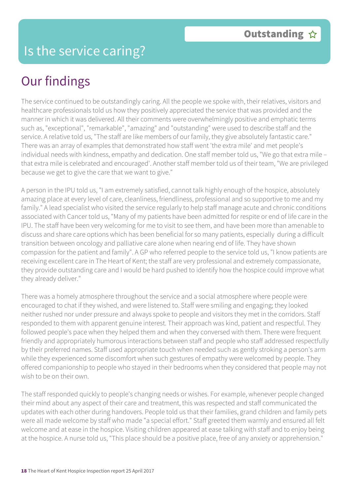## Our findings

The service continued to be outstandingly caring. All the people we spoke with, their relatives, visitors and healthcare professionals told us how they positively appreciated the service that was provided and the manner in which it was delivered. All their comments were overwhelmingly positive and emphatic terms such as, "exceptional", "remarkable", "amazing" and "outstanding" were used to describe staff and the service. A relative told us, "The staff are like members of our family, they give absolutely fantastic care." There was an array of examples that demonstrated how staff went 'the extra mile' and met people's individual needs with kindness, empathy and dedication. One staff member told us, "We go that extra mile – that extra mile is celebrated and encouraged'. Another staff member told us of their team, "We are privileged because we get to give the care that we want to give."

A person in the IPU told us, "I am extremely satisfied, cannot talk highly enough of the hospice, absolutely amazing place at every level of care, cleanliness, friendliness, professional and so supportive to me and my family." A lead specialist who visited the service regularly to help staff manage acute and chronic conditions associated with Cancer told us, "Many of my patients have been admitted for respite or end of life care in the IPU. The staff have been very welcoming for me to visit to see them, and have been more than amenable to discuss and share care options which has been beneficial for so many patients, especially during a difficult transition between oncology and palliative care alone when nearing end of life. They have shown compassion for the patient and family". A GP who referred people to the service told us, "I know patients are receiving excellent care in The Heart of Kent; the staff are very professional and extremely compassionate, they provide outstanding care and I would be hard pushed to identify how the hospice could improve what they already deliver."

There was a homely atmosphere throughout the service and a social atmosphere where people were encouraged to chat if they wished, and were listened to. Staff were smiling and engaging; they looked neither rushed nor under pressure and always spoke to people and visitors they met in the corridors. Staff responded to them with apparent genuine interest. Their approach was kind, patient and respectful. They followed people's pace when they helped them and when they conversed with them. There were frequent friendly and appropriately humorous interactions between staff and people who staff addressed respectfully by their preferred names. Staff used appropriate touch when needed such as gently stroking a person's arm while they experienced some discomfort when such gestures of empathy were welcomed by people. They offered companionship to people who stayed in their bedrooms when they considered that people may not wish to be on their own.

The staff responded quickly to people's changing needs or wishes. For example, whenever people changed their mind about any aspect of their care and treatment, this was respected and staff communicated the updates with each other during handovers. People told us that their families, grand children and family pets were all made welcome by staff who made "a special effort." Staff greeted them warmly and ensured all felt welcome and at ease in the hospice. Visiting children appeared at ease talking with staff and to enjoy being at the hospice. A nurse told us, "This place should be a positive place, free of any anxiety or apprehension."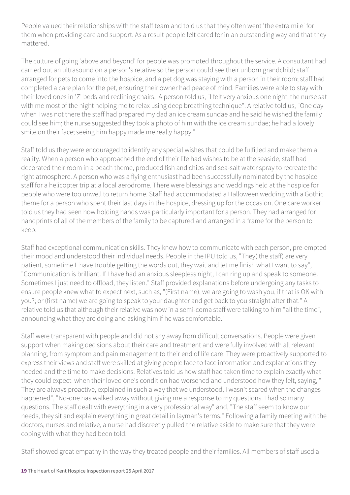People valued their relationships with the staff team and told us that they often went 'the extra mile' for them when providing care and support. As a result people felt cared for in an outstanding way and that they mattered.

The culture of going 'above and beyond' for people was promoted throughout the service. A consultant had carried out an ultrasound on a person's relative so the person could see their unborn grandchild; staff arranged for pets to come into the hospice, and a pet dog was staying with a person in their room; staff had completed a care plan for the pet, ensuring their owner had peace of mind. Families were able to stay with their loved ones in 'Z' beds and reclining chairs. A person told us, "I felt very anxious one night, the nurse sat with me most of the night helping me to relax using deep breathing technique". A relative told us, "One day when I was not there the staff had prepared my dad an ice cream sundae and he said he wished the family could see him; the nurse suggested they took a photo of him with the ice cream sundae; he had a lovely smile on their face; seeing him happy made me really happy."

Staff told us they were encouraged to identify any special wishes that could be fulfilled and make them a reality. When a person who approached the end of their life had wishes to be at the seaside, staff had decorated their room in a beach theme, produced fish and chips and sea-salt water spray to recreate the right atmosphere. A person who was a flying enthusiast had been successfully nominated by the hospice staff for a helicopter trip at a local aerodrome. There were blessings and weddings held at the hospice for people who were too unwell to return home. Staff had accommodated a Halloween wedding with a Gothic theme for a person who spent their last days in the hospice, dressing up for the occasion. One care worker told us they had seen how holding hands was particularly important for a person. They had arranged for handprints of all of the members of the family to be captured and arranged in a frame for the person to keep.

Staff had exceptional communication skills. They knew how to communicate with each person, pre-empted their mood and understood their individual needs. People in the IPU told us, "They( the staff) are very patient, sometime I have trouble getting the words out, they wait and let me finish what I want to say", "Communication is brilliant. If I have had an anxious sleepless night, I can ring up and speak to someone. Sometimes I just need to offload, they listen." Staff provided explanations before undergoing any tasks to ensure people knew what to expect next, such as, "(First name), we are going to wash you, if that is OK with you?; or (first name) we are going to speak to your daughter and get back to you straight after that." A relative told us that although their relative was now in a semi-coma staff were talking to him "all the time", announcing what they are doing and asking him if he was comfortable."

Staff were transparent with people and did not shy away from difficult conversations. People were given support when making decisions about their care and treatment and were fully involved with all relevant planning, from symptom and pain management to their end of life care. They were proactively supported to express their views and staff were skilled at giving people face to face information and explanations they needed and the time to make decisions. Relatives told us how staff had taken time to explain exactly what they could expect when their loved one's condition had worsened and understood how they felt, saying, " They are always proactive, explained in such a way that we understood, I wasn't scared when the changes happened", "No-one has walked away without giving me a response to my questions. I had so many questions. The staff dealt with everything in a very professional way" and, "The staff seem to know our needs, they sit and explain everything in great detail in layman's terms." Following a family meeting with the doctors, nurses and relative, a nurse had discreetly pulled the relative aside to make sure that they were coping with what they had been told.

Staff showed great empathy in the way they treated people and their families. All members of staff used a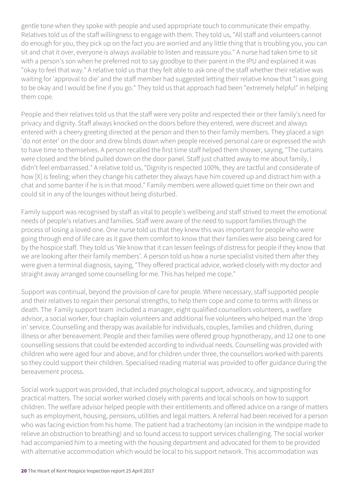gentle tone when they spoke with people and used appropriate touch to communicate their empathy. Relatives told us of the staff willingness to engage with them. They told us, "All staff and volunteers cannot do enough for you, they pick up on the fact you are worried and any little thing that is troubling you, you can sit and chat it over, everyone is always available to listen and reassure you." A nurse had taken time to sit with a person's son when he preferred not to say goodbye to their parent in the IPU and explained it was "okay to feel that way." A relative told us that they felt able to ask one of the staff whether their relative was waiting for 'approval to die' and the staff member had suggested letting their relative know that "I was going to be okay and I would be fine if you go." They told us that approach had been "extremely helpful" in helping them cope.

People and their relatives told us that the staff were very polite and respected their or their family's need for privacy and dignity. Staff always knocked on the doors before they entered, were discreet and always entered with a cheery greeting directed at the person and then to their family members. They placed a sign 'do not enter' on the door and drew blinds down when people received personal care or expressed the wish to have time to themselves. A person recalled the first time staff helped them shower, saying, "The curtains were closed and the blind pulled down on the door panel. Staff just chatted away to me about family, I didn't feel embarrassed." A relative told us, "Dignity is respected 100%, they are tactful and considerate of how [X] is feeling; when they change his catheter they always have him covered up and distract him with a chat and some banter if he is in that mood." Family members were allowed quiet time on their own and could sit in any of the lounges without being disturbed.

Family support was recognised by staff as vital to people's wellbeing and staff strived to meet the emotional needs of people's relatives and families. Staff were aware of the need to support families through the process of losing a loved one. One nurse told us that they knew this was important for people who were going through end of life care as it gave them comfort to know that their families were also being cared for by the hospice staff. They told us 'We know that it can lessen feelings of distress for people if they know that we are looking after their family members'. A person told us how a nurse specialist visited them after they were given a terminal diagnosis, saying, "They offered practical advice, worked closely with my doctor and straight away arranged some counselling for me. This has helped me cope."

Support was continual, beyond the provision of care for people. Where necessary, staff supported people and their relatives to regain their personal strengths, to help them cope and come to terms with illness or death. The Family support team included a manager, eight qualified counsellors volunteers, a welfare advisor, a social worker, four chaplain volunteers and additional five volunteers who helped man the 'drop in' service. Counselling and therapy was available for individuals, couples, families and children, during illness or after bereavement. People and their families were offered group hypnotherapy, and 12 one to one counselling sessions that could be extended according to individual needs. Counselling was provided with children who were aged four and above, and for children under three, the counsellors worked with parents so they could support their children. Specialised reading material was provided to offer guidance during the bereavement process.

Social work support was provided, that included psychological support, advocacy, and signposting for practical matters. The social worker worked closely with parents and local schools on how to support children. The welfare advisor helped people with their entitlements and offered advice on a range of matters such as employment, housing, pensions, utilities and legal matters. A referral had been received for a person who was facing eviction from his home. The patient had a tracheotomy (an incision in the windpipe made to relieve an obstruction to breathing) and so found access to support services challenging. The social worker had accompanied him to a meeting with the housing department and advocated for them to be provided with alternative accommodation which would be local to his support network. This accommodation was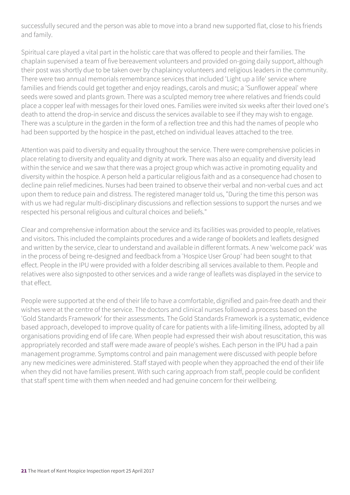successfully secured and the person was able to move into a brand new supported flat, close to his friends and family.

Spiritual care played a vital part in the holistic care that was offered to people and their families. The chaplain supervised a team of five bereavement volunteers and provided on-going daily support, although their post was shortly due to be taken over by chaplaincy volunteers and religious leaders in the community. There were two annual memorials remembrance services that included 'Light up a life' service where families and friends could get together and enjoy readings, carols and music; a 'Sunflower appeal' where seeds were sowed and plants grown. There was a sculpted memory tree where relatives and friends could place a copper leaf with messages for their loved ones. Families were invited six weeks after their loved one's death to attend the drop-in service and discuss the services available to see if they may wish to engage. There was a sculpture in the garden in the form of a reflection tree and this had the names of people who had been supported by the hospice in the past, etched on individual leaves attached to the tree.

Attention was paid to diversity and equality throughout the service. There were comprehensive policies in place relating to diversity and equality and dignity at work. There was also an equality and diversity lead within the service and we saw that there was a project group which was active in promoting equality and diversity within the hospice. A person held a particular religious faith and as a consequence had chosen to decline pain relief medicines. Nurses had been trained to observe their verbal and non-verbal cues and act upon them to reduce pain and distress. The registered manager told us, "During the time this person was with us we had regular multi-disciplinary discussions and reflection sessions to support the nurses and we respected his personal religious and cultural choices and beliefs."

Clear and comprehensive information about the service and its facilities was provided to people, relatives and visitors. This included the complaints procedures and a wide range of booklets and leaflets designed and written by the service, clear to understand and available in different formats. A new 'welcome pack' was in the process of being re-designed and feedback from a 'Hospice User Group' had been sought to that effect. People in the IPU were provided with a folder describing all services available to them. People and relatives were also signposted to other services and a wide range of leaflets was displayed in the service to that effect.

People were supported at the end of their life to have a comfortable, dignified and pain-free death and their wishes were at the centre of the service. The doctors and clinical nurses followed a process based on the 'Gold Standards Framework' for their assessments. The Gold Standards Framework is a systematic, evidence based approach, developed to improve quality of care for patients with a life-limiting illness, adopted by all organisations providing end of life care. When people had expressed their wish about resuscitation, this was appropriately recorded and staff were made aware of people's wishes. Each person in the IPU had a pain management programme. Symptoms control and pain management were discussed with people before any new medicines were administered. Staff stayed with people when they approached the end of their life when they did not have families present. With such caring approach from staff, people could be confident that staff spent time with them when needed and had genuine concern for their wellbeing.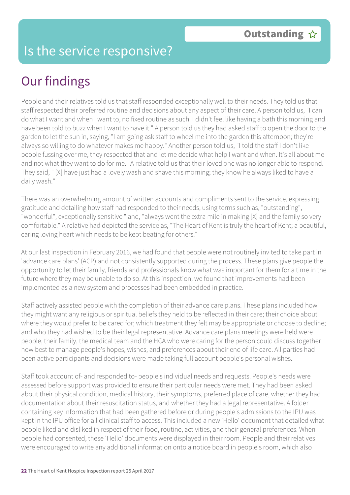### Is the service responsive?

### Our findings

People and their relatives told us that staff responded exceptionally well to their needs. They told us that staff respected their preferred routine and decisions about any aspect of their care. A person told us, "I can do what I want and when I want to, no fixed routine as such. I didn't feel like having a bath this morning and have been told to buzz when I want to have it." A person told us they had asked staff to open the door to the garden to let the sun in, saying, "I am going ask staff to wheel me into the garden this afternoon; they're always so willing to do whatever makes me happy." Another person told us, "I told the staff I don't like people fussing over me, they respected that and let me decide what help I want and when. It's all about me and not what they want to do for me." A relative told us that their loved one was no longer able to respond. They said, " [X] have just had a lovely wash and shave this morning; they know he always liked to have a daily wash."

There was an overwhelming amount of written accounts and compliments sent to the service, expressing gratitude and detailing how staff had responded to their needs, using terms such as, "outstanding", "wonderful", exceptionally sensitive " and, "always went the extra mile in making [X] and the family so very comfortable." A relative had depicted the service as, "The Heart of Kent is truly the heart of Kent; a beautiful, caring loving heart which needs to be kept beating for others."

At our last inspection in February 2016, we had found that people were not routinely invited to take part in 'advance care plans' (ACP) and not consistently supported during the process. These plans give people the opportunity to let their family, friends and professionals know what was important for them for a time in the future where they may be unable to do so. At this inspection, we found that improvements had been implemented as a new system and processes had been embedded in practice.

Staff actively assisted people with the completion of their advance care plans. These plans included how they might want any religious or spiritual beliefs they held to be reflected in their care; their choice about where they would prefer to be cared for; which treatment they felt may be appropriate or choose to decline; and who they had wished to be their legal representative. Advance care plans meetings were held were people, their family, the medical team and the HCA who were caring for the person could discuss together how best to manage people's hopes, wishes, and preferences about their end of life care. All parties had been active participants and decisions were made taking full account people's personal wishes.

Staff took account of- and responded to- people's individual needs and requests. People's needs were assessed before support was provided to ensure their particular needs were met. They had been asked about their physical condition, medical history, their symptoms, preferred place of care, whether they had documentation about their resuscitation status, and whether they had a legal representative. A folder containing key information that had been gathered before or during people's admissions to the IPU was kept in the IPU office for all clinical staff to access. This included a new 'Hello' document that detailed what people liked and disliked in respect of their food, routine, activities, and their general preferences. When people had consented, these 'Hello' documents were displayed in their room. People and their relatives were encouraged to write any additional information onto a notice board in people's room, which also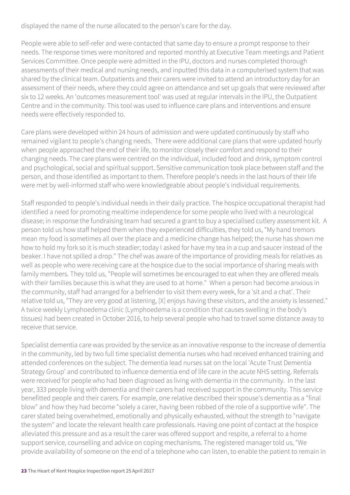displayed the name of the nurse allocated to the person's care for the day.

People were able to self-refer and were contacted that same day to ensure a prompt response to their needs. The response times were monitored and reported monthly at Executive Team meetings and Patient Services Committee. Once people were admitted in the IPU, doctors and nurses completed thorough assessments of their medical and nursing needs, and inputted this data in a computerised system that was shared by the clinical team. Outpatients and their carers were invited to attend an introductory day for an assessment of their needs, where they could agree on attendance and set up goals that were reviewed after six to 12 weeks. An 'outcomes measurement tool' was used at regular intervals in the IPU, the Outpatient Centre and in the community. This tool was used to influence care plans and interventions and ensure needs were effectively responded to.

Care plans were developed within 24 hours of admission and were updated continuously by staff who remained vigilant to people's changing needs. There were additional care plans that were updated hourly when people approached the end of their life, to monitor closely their comfort and respond to their changing needs. The care plans were centred on the individual, included food and drink, symptom control and psychological, social and spiritual support. Sensitive communication took place between staff and the person, and those identified as important to them. Therefore people's needs in the last hours of their life were met by well-informed staff who were knowledgeable about people's individual requirements.

Staff responded to people's individual needs in their daily practice. The hospice occupational therapist had identified a need for promoting mealtime independence for some people who lived with a neurological disease; in response the fundraising team had secured a grant to buy a specialised cutlery assessment kit. A person told us how staff helped them when they experienced difficulties, they told us, "My hand tremors mean my food is sometimes all over the place and a medicine change has helped; the nurse has shown me how to hold my fork so it is much steadier; today I asked for have my tea in a cup and saucer instead of the beaker. I have not spilled a drop." The chef was aware of the importance of providing meals for relatives as well as people who were receiving care at the hospice due to the social importance of sharing meals with family members. They told us, "People will sometimes be encouraged to eat when they are offered meals with their families because this is what they are used to at home." When a person had become anxious in the community, staff had arranged for a befriender to visit them every week, for a 'sit and a chat'. Their relative told us, "They are very good at listening, [X] enjoys having these visitors, and the anxiety is lessened." A twice weekly Lymphoedema clinic (Lymphoedema is a condition that causes swelling in the body's tissues) had been created in October 2016, to help several people who had to travel some distance away to receive that service.

Specialist dementia care was provided by the service as an innovative response to the increase of dementia in the community, led by two full time specialist dementia nurses who had received enhanced training and attended conferences on the subject. The dementia lead nurses sat on the local 'Acute Trust Dementia Strategy Group' and contributed to influence dementia end of life care in the acute NHS setting. Referrals were received for people who had been diagnosed as living with dementia in the community. In the last year, 333 people living with dementia and their carers had received support in the community. This service benefitted people and their carers. For example, one relative described their spouse's dementia as a "final blow" and how they had become "solely a carer, having been robbed of the role of a supportive wife". The carer stated being overwhelmed, emotionally and physically exhausted, without the strength to "navigate the system" and locate the relevant health care professionals. Having one point of contact at the hospice alleviated this pressure and as a result the carer was offered support and respite, a referral to a home support service, counselling and advice on coping mechanisms. The registered manager told us, "We provide availability of someone on the end of a telephone who can listen, to enable the patient to remain in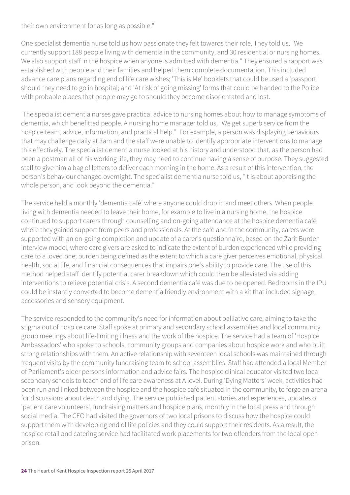their own environment for as long as possible."

One specialist dementia nurse told us how passionate they felt towards their role. They told us, "We currently support 188 people living with dementia in the community, and 30 residential or nursing homes. We also support staff in the hospice when anyone is admitted with dementia." They ensured a rapport was established with people and their families and helped them complete documentation. This included advance care plans regarding end of life care wishes; 'This is Me' booklets that could be used a 'passport' should they need to go in hospital; and 'At risk of going missing' forms that could be handed to the Police with probable places that people may go to should they become disorientated and lost.

 The specialist dementia nurses gave practical advice to nursing homes about how to manage symptoms of dementia, which benefitted people. A nursing home manager told us, "We get superb service from the hospice team, advice, information, and practical help." For example, a person was displaying behaviours that may challenge daily at 3am and the staff were unable to identify appropriate interventions to manage this effectively. The specialist dementia nurse looked at his history and understood that, as the person had been a postman all of his working life, they may need to continue having a sense of purpose. They suggested staff to give him a bag of letters to deliver each morning in the home. As a result of this intervention, the person's behaviour changed overnight. The specialist dementia nurse told us, "It is about appraising the whole person, and look beyond the dementia."

The service held a monthly 'dementia café' where anyone could drop in and meet others. When people living with dementia needed to leave their home, for example to live in a nursing home, the hospice continued to support carers through counselling and on-going attendance at the hospice dementia café where they gained support from peers and professionals. At the café and in the community, carers were supported with an on-going completion and update of a carer's questionnaire, based on the Zarit Burden interview model, where care givers are asked to indicate the extent of burden experienced while providing care to a loved one; burden being defined as the extent to which a care giver perceives emotional, physical health, social life, and financial consequences that impairs one's ability to provide care. The use of this method helped staff identify potential carer breakdown which could then be alleviated via adding interventions to relieve potential crisis. A second dementia café was due to be opened. Bedrooms in the IPU could be instantly converted to become dementia friendly environment with a kit that included signage, accessories and sensory equipment.

The service responded to the community's need for information about palliative care, aiming to take the stigma out of hospice care. Staff spoke at primary and secondary school assemblies and local community group meetings about life-limiting illness and the work of the hospice. The service had a team of 'Hospice Ambassadors' who spoke to schools, community groups and companies about hospice work and who built strong relationships with them. An active relationship with seventeen local schools was maintained through frequent visits by the community fundraising team to school assemblies. Staff had attended a local Member of Parliament's older persons information and advice fairs. The hospice clinical educator visited two local secondary schools to teach end of life care awareness at A level. During 'Dying Matters' week, activities had been run and linked between the hospice and the hospice café situated in the community, to forge an arena for discussions about death and dying. The service published patient stories and experiences, updates on 'patient care volunteers', fundraising matters and hospice plans, monthly in the local press and through social media. The CEO had visited the governors of two local prisons to discuss how the hospice could support them with developing end of life policies and they could support their residents. As a result, the hospice retail and catering service had facilitated work placements for two offenders from the local open prison.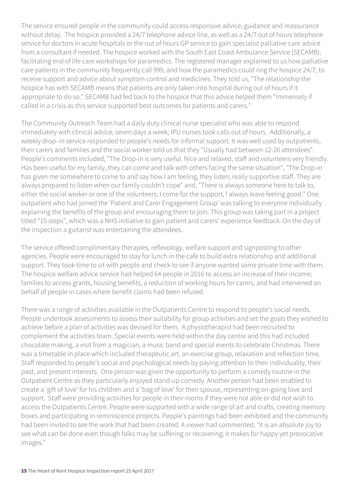The service ensured people in the community could access responsive advice, guidance and reassurance without delay. The hospice provided a 24/7 telephone advice line, as well as a 24/7 out of hours telephone service for doctors in acute hospitals or the out of hours GP service to gain specialist palliative care advice from a consultant if needed. The hospice worked with the South East Coast Ambulance Service (SECAMB), facilitating end of life care workshops for paramedics. The registered manager explained to us how palliative care patients in the community frequently call 999, and how the paramedics could ring the hospice 24/7, to receive support and advice about symptom control and medicines. They told us, "The relationship the hospice has with SECAMB means that patients are only taken into hospital during out of hours if it appropriate to do so." SECAMB had fed back to the hospice that this advice helped them "Immensely if called in a crisis as this service supported best outcomes for patients and carers."

The Community Outreach Team had a daily duty clinical nurse specialist who was able to respond immediately with clinical advice, seven days a week; IPU nurses took calls out of hours. Additionally, a weekly drop–in service responded to people's needs for informal support. It was well used by outpatients, their carers and families and the social worker told us that they "Usually had between 12-26 attendees". People's comments included, "The Drop-in is very useful. Nice and relaxed, staff and volunteers very friendly. Has been useful for my family, they can come and talk with others facing the same situation", "The Drop-in has given me somewhere to come to and say how I am feeling, they listen; really supportive staff. They are always prepared to listen when our family couldn't cope" and, "There is always someone here to talk to, either the social worker or one of the volunteers; I come for the support, I always leave feeling good." One outpatient who had joined the 'Patient and Carer Engagement Group' was talking to everyone individually explaining the benefits of the group and encouraging them to join. This group was taking part in a project titled "15 steps", which was a NHS initiative to gain patient and carers' experience feedback. On the day of the inspection a guitarist was entertaining the attendees.

The service offered complimentary therapies, reflexology, welfare support and signposting to other agencies. People were encouraged to stay for lunch in the café to build extra relationship and additional support. They took time to sit with people and check to see if anyone wanted some private time with them. The hospice welfare advice service had helped 64 people in 2016 to access an increase of their income; families to access grants, housing benefits, a reduction of working hours for carers, and had intervened on behalf of people in cases where benefit claims had been refused.

There was a range of activities available in the Outpatients Centre to respond to people's social needs. People undertook assessments to assess their suitability for group activities and set the goals they wished to achieve before a plan of activities was devised for them. A physiotherapist had been recruited to complement the activities team. Special events were held within the day centre and this had included chocolate making, a visit from a magician, a music band and special events to celebrate Christmas. There was a timetable in place which included therapeutic art, an exercise group, relaxation and reflection time. Staff responded to people's social and psychological needs by paying attention to their individuality, their past, and present interests. One person was given the opportunity to perform a comedy routine in the Outpatient Centre as they particularly enjoyed stand-up comedy. Another person had been enabled to create a 'gift of love' for his children and a 'bag of love' for their spouse, representing on-going love and support. Staff were providing activities for people in their rooms if they were not able or did not wish to access the Outpatients Centre. People were supported with a wide range of art and crafts, creating memory boxes and participating in reminiscence projects. People's paintings had been exhibited and the community had been invited to see the work that had been created. A viewer had commented, "It is an absolute joy to see what can be done even though folks may be suffering or recovering; it makes for happy yet provocative images."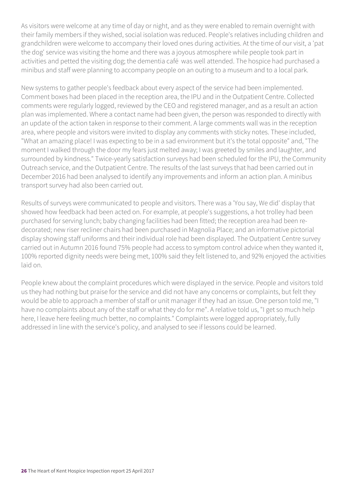As visitors were welcome at any time of day or night, and as they were enabled to remain overnight with their family members if they wished, social isolation was reduced. People's relatives including children and grandchildren were welcome to accompany their loved ones during activities. At the time of our visit, a 'pat the dog' service was visiting the home and there was a joyous atmosphere while people took part in activities and petted the visiting dog; the dementia café was well attended. The hospice had purchased a minibus and staff were planning to accompany people on an outing to a museum and to a local park.

New systems to gather people's feedback about every aspect of the service had been implemented. Comment boxes had been placed in the reception area, the IPU and in the Outpatient Centre. Collected comments were regularly logged, reviewed by the CEO and registered manager, and as a result an action plan was implemented. Where a contact name had been given, the person was responded to directly with an update of the action taken in response to their comment. A large comments wall was in the reception area, where people and visitors were invited to display any comments with sticky notes. These included, "What an amazing place! I was expecting to be in a sad environment but it's the total opposite" and, "The moment I walked through the door my fears just melted away; I was greeted by smiles and laughter, and surrounded by kindness." Twice-yearly satisfaction surveys had been scheduled for the IPU, the Community Outreach service, and the Outpatient Centre. The results of the last surveys that had been carried out in December 2016 had been analysed to identify any improvements and inform an action plan. A minibus transport survey had also been carried out.

Results of surveys were communicated to people and visitors. There was a 'You say, We did' display that showed how feedback had been acted on. For example, at people's suggestions, a hot trolley had been purchased for serving lunch; baby changing facilities had been fitted; the reception area had been redecorated; new riser recliner chairs had been purchased in Magnolia Place; and an informative pictorial display showing staff uniforms and their individual role had been displayed. The Outpatient Centre survey carried out in Autumn 2016 found 75% people had access to symptom control advice when they wanted it, 100% reported dignity needs were being met, 100% said they felt listened to, and 92% enjoyed the activities laid on.

People knew about the complaint procedures which were displayed in the service. People and visitors told us they had nothing but praise for the service and did not have any concerns or complaints, but felt they would be able to approach a member of staff or unit manager if they had an issue. One person told me, "I have no complaints about any of the staff or what they do for me". A relative told us, "I get so much help here, I leave here feeling much better, no complaints." Complaints were logged appropriately, fully addressed in line with the service's policy, and analysed to see if lessons could be learned.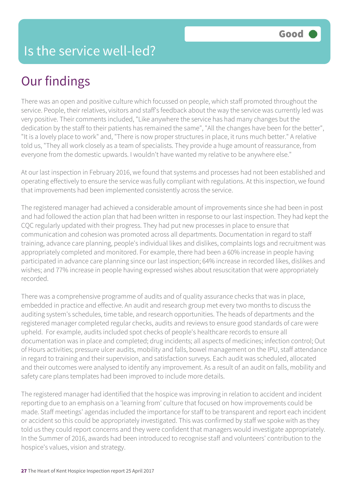### Our findings

There was an open and positive culture which focussed on people, which staff promoted throughout the service. People, their relatives, visitors and staff's feedback about the way the service was currently led was very positive. Their comments included, "Like anywhere the service has had many changes but the dedication by the staff to their patients has remained the same", "All the changes have been for the better", "It is a lovely place to work" and, "There is now proper structures in place, it runs much better." A relative told us, "They all work closely as a team of specialists. They provide a huge amount of reassurance, from everyone from the domestic upwards. I wouldn't have wanted my relative to be anywhere else."

At our last inspection in February 2016, we found that systems and processes had not been established and operating effectively to ensure the service was fully compliant with regulations. At this inspection, we found that improvements had been implemented consistently across the service.

The registered manager had achieved a considerable amount of improvements since she had been in post and had followed the action plan that had been written in response to our last inspection. They had kept the CQC regularly updated with their progress. They had put new processes in place to ensure that communication and cohesion was promoted across all departments. Documentation in regard to staff training, advance care planning, people's individual likes and dislikes, complaints logs and recruitment was appropriately completed and monitored. For example, there had been a 60% increase in people having participated in advance care planning since our last inspection; 64% increase in recorded likes, dislikes and wishes; and 77% increase in people having expressed wishes about resuscitation that were appropriately recorded.

There was a comprehensive programme of audits and of quality assurance checks that was in place, embedded in practice and effective. An audit and research group met every two months to discuss the auditing system's schedules, time table, and research opportunities. The heads of departments and the registered manager completed regular checks, audits and reviews to ensure good standards of care were upheld. For example, audits included spot checks of people's healthcare records to ensure all documentation was in place and completed; drug incidents; all aspects of medicines; infection control; Out of Hours activities; pressure ulcer audits, mobility and falls, bowel management on the IPU, staff attendance in regard to training and their supervision, and satisfaction surveys. Each audit was scheduled, allocated and their outcomes were analysed to identify any improvement. As a result of an audit on falls, mobility and safety care plans templates had been improved to include more details.

The registered manager had identified that the hospice was improving in relation to accident and incident reporting due to an emphasis on a 'learning from' culture that focused on how improvements could be made. Staff meetings' agendas included the importance for staff to be transparent and report each incident or accident so this could be appropriately investigated. This was confirmed by staff we spoke with as they told us they could report concerns and they were confident that managers would investigate appropriately. In the Summer of 2016, awards had been introduced to recognise staff and volunteers' contribution to the hospice's values, vision and strategy.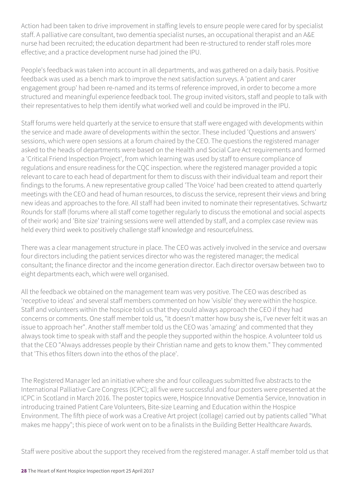Action had been taken to drive improvement in staffing levels to ensure people were cared for by specialist staff. A palliative care consultant, two dementia specialist nurses, an occupational therapist and an A&E nurse had been recruited; the education department had been re-structured to render staff roles more effective; and a practice development nurse had joined the IPU.

People's feedback was taken into account in all departments, and was gathered on a daily basis. Positive feedback was used as a bench mark to improve the next satisfaction surveys. A 'patient and carer engagement group' had been re-named and its terms of reference improved, in order to become a more structured and meaningful experience feedback tool. The group invited visitors, staff and people to talk with their representatives to help them identify what worked well and could be improved in the IPU.

Staff forums were held quarterly at the service to ensure that staff were engaged with developments within the service and made aware of developments within the sector. These included 'Questions and answers' sessions, which were open sessions at a forum chaired by the CEO. The questions the registered manager asked to the heads of departments were based on the Health and Social Care Act requirements and formed a 'Critical Friend Inspection Project', from which learning was used by staff to ensure compliance of regulations and ensure readiness for the CQC inspection. where the registered manager provided a topic relevant to care to each head of department for them to discuss with their individual team and report their findings to the forums. A new representative group called 'The Voice' had been created to attend quarterly meetings with the CEO and head of human resources, to discuss the service, represent their views and bring new ideas and approaches to the fore. All staff had been invited to nominate their representatives. Schwartz Rounds for staff (forums where all staff come together regularly to discuss the emotional and social aspects of their work) and 'Bite size' training sessions were well attended by staff, and a complex case review was held every third week to positively challenge staff knowledge and resourcefulness.

There was a clear management structure in place. The CEO was actively involved in the service and oversaw four directors including the patient services director who was the registered manager; the medical consultant; the finance director and the income generation director. Each director oversaw between two to eight departments each, which were well organised.

All the feedback we obtained on the management team was very positive. The CEO was described as 'receptive to ideas' and several staff members commented on how 'visible' they were within the hospice. Staff and volunteers within the hospice told us that they could always approach the CEO if they had concerns or comments. One staff member told us, "It doesn't matter how busy she is, I've never felt it was an issue to approach her". Another staff member told us the CEO was 'amazing' and commented that they always took time to speak with staff and the people they supported within the hospice. A volunteer told us that the CEO "Always addresses people by their Christian name and gets to know them." They commented that 'This ethos filters down into the ethos of the place'.

The Registered Manager led an initiative where she and four colleagues submitted five abstracts to the International Palliative Care Congress (ICPC); all five were successful and four posters were presented at the ICPC in Scotland in March 2016. The poster topics were, Hospice Innovative Dementia Service, Innovation in introducing trained Patient Care Volunteers, Bite-size Learning and Education within the Hospice Environment. The fifth piece of work was a Creative Art project (collage) carried out by patients called "What makes me happy"; this piece of work went on to be a finalists in the Building Better Healthcare Awards.

Staff were positive about the support they received from the registered manager. A staff member told us that